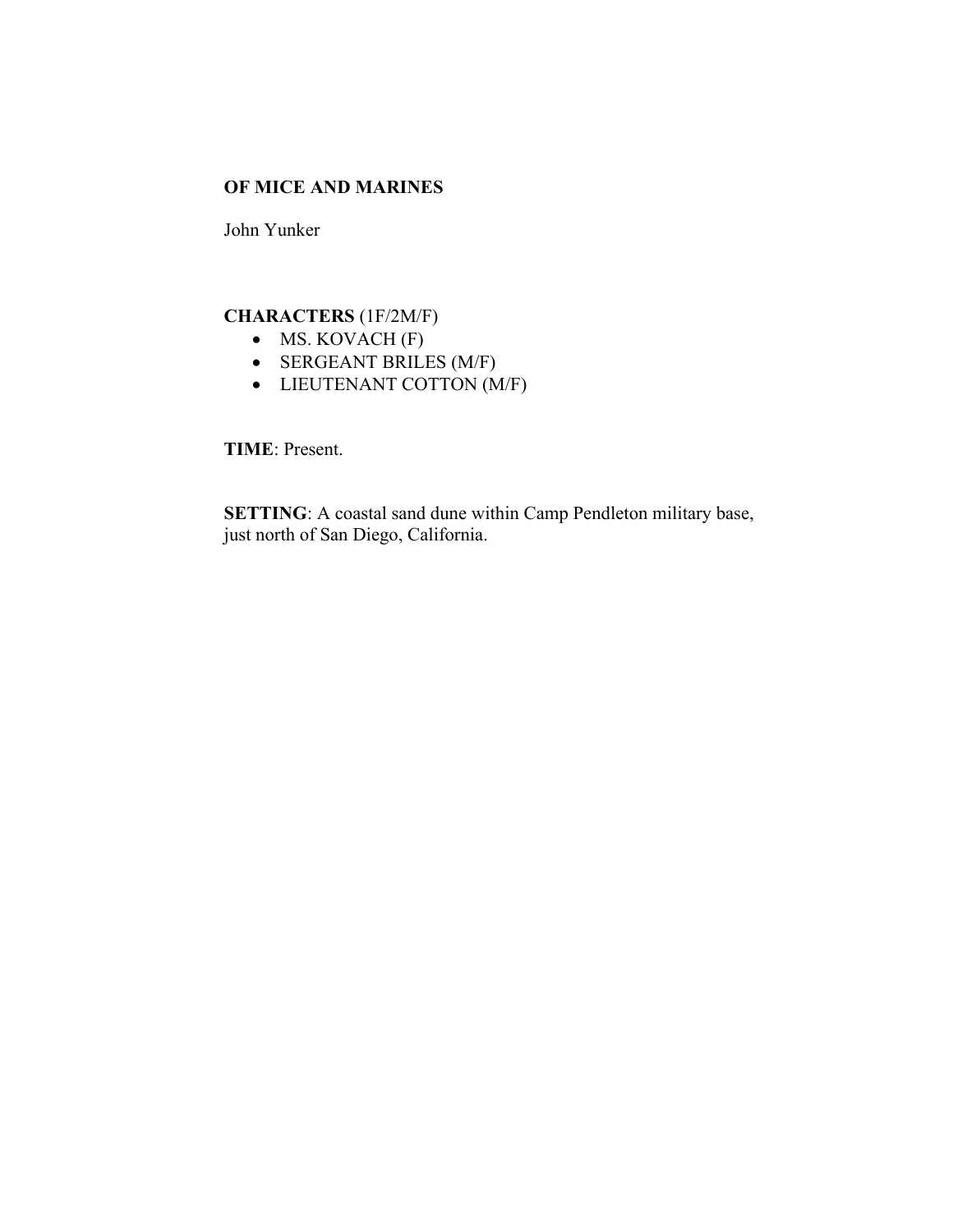### **OF MICE AND MARINES**

John Yunker

## **CHARACTERS** (1F/2M/F)

- MS. KOVACH (F)
- SERGEANT BRILES (M/F)
- LIEUTENANT COTTON (M/F)

**TIME**: Present.

**SETTING**: A coastal sand dune within Camp Pendleton military base, just north of San Diego, California.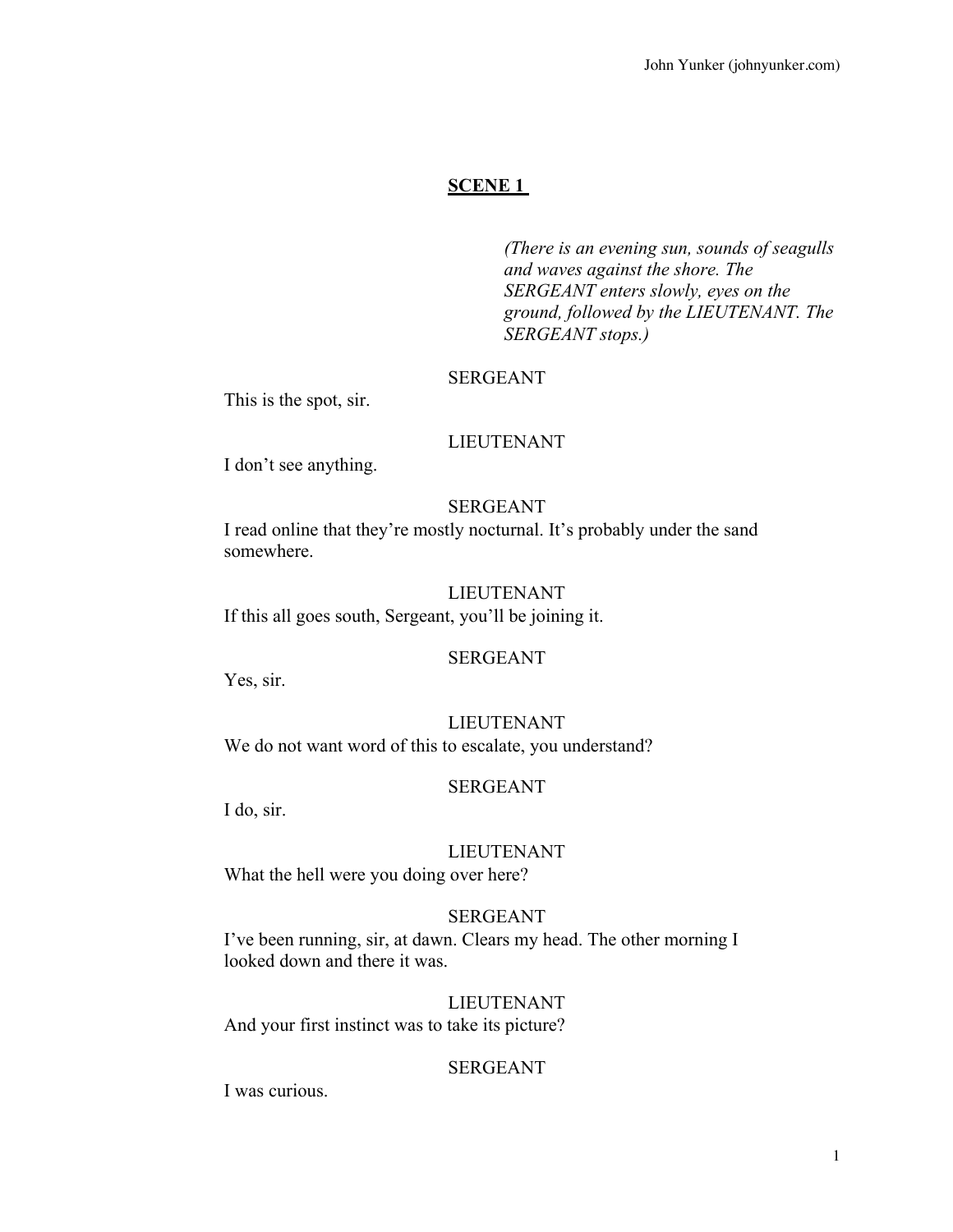# **SCENE 1**

*(There is an evening sun, sounds of seagulls and waves against the shore. The SERGEANT enters slowly, eyes on the ground, followed by the LIEUTENANT. The SERGEANT stops.)*

## SERGEANT

This is the spot, sir.

## LIEUTENANT

I don't see anything.

## SERGEANT

I read online that they're mostly nocturnal. It's probably under the sand somewhere.

## LIEUTENANT

If this all goes south, Sergeant, you'll be joining it.

### SERGEANT

Yes, sir.

### LIEUTENANT We do not want word of this to escalate, you understand?

### SERGEANT

I do, sir.

## LIEUTENANT

What the hell were you doing over here?

### SERGEANT

I've been running, sir, at dawn. Clears my head. The other morning I looked down and there it was.

## LIEUTENANT And your first instinct was to take its picture?

### SERGEANT

I was curious.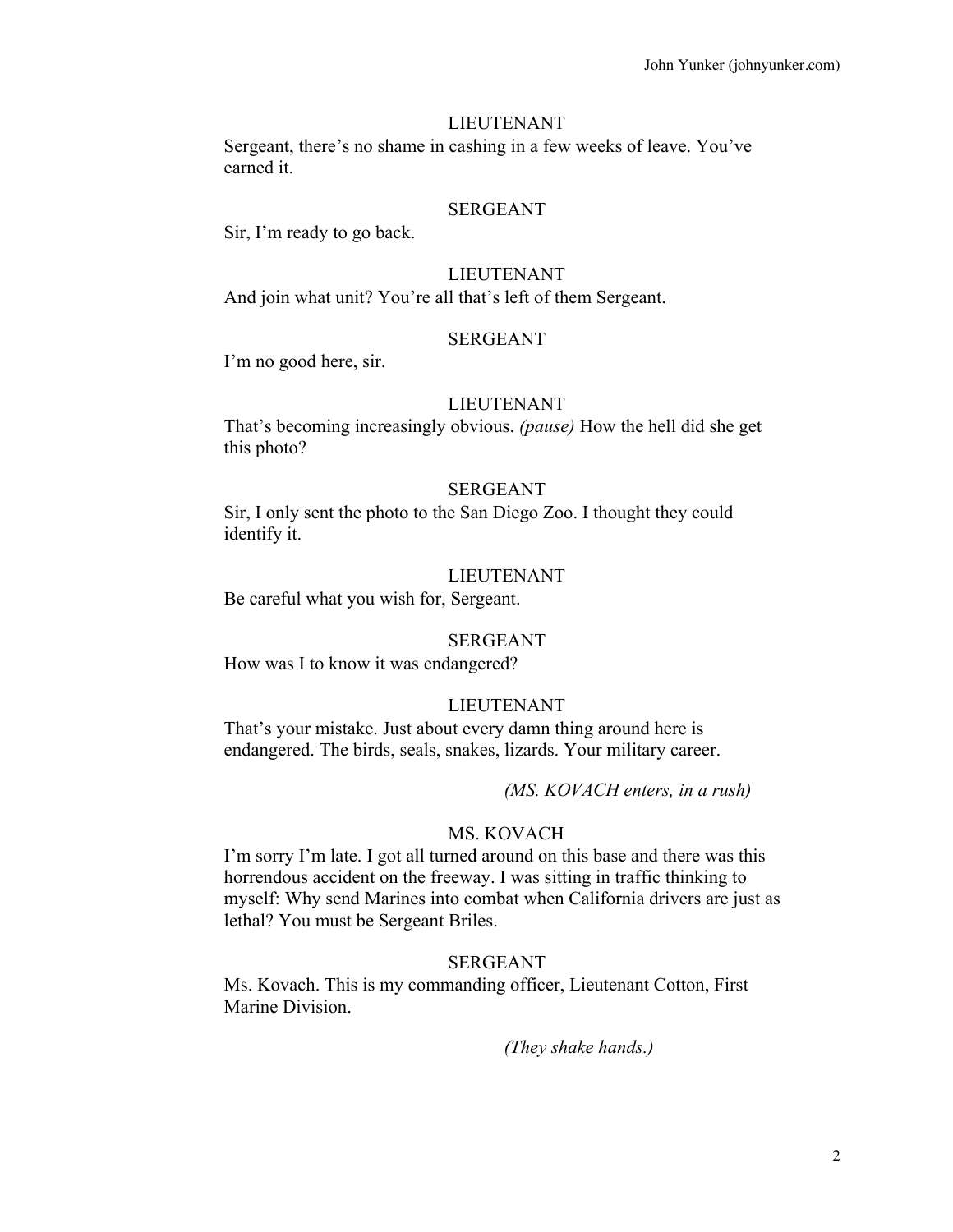### LIEUTENANT

Sergeant, there's no shame in cashing in a few weeks of leave. You've earned it.

### SERGEANT

Sir, I'm ready to go back.

## LIEUTENANT

And join what unit? You're all that's left of them Sergeant.

#### SERGEANT

I'm no good here, sir.

### LIEUTENANT

That's becoming increasingly obvious. *(pause)* How the hell did she get this photo?

#### SERGEANT

Sir, I only sent the photo to the San Diego Zoo. I thought they could identify it.

### LIEUTENANT

Be careful what you wish for, Sergeant.

#### SERGEANT

How was I to know it was endangered?

#### LIEUTENANT

That's your mistake. Just about every damn thing around here is endangered. The birds, seals, snakes, lizards. Your military career.

### *(MS. KOVACH enters, in a rush)*

### MS. KOVACH

I'm sorry I'm late. I got all turned around on this base and there was this horrendous accident on the freeway. I was sitting in traffic thinking to myself: Why send Marines into combat when California drivers are just as lethal? You must be Sergeant Briles.

### SERGEANT

Ms. Kovach. This is my commanding officer, Lieutenant Cotton, First Marine Division.

*(They shake hands.)*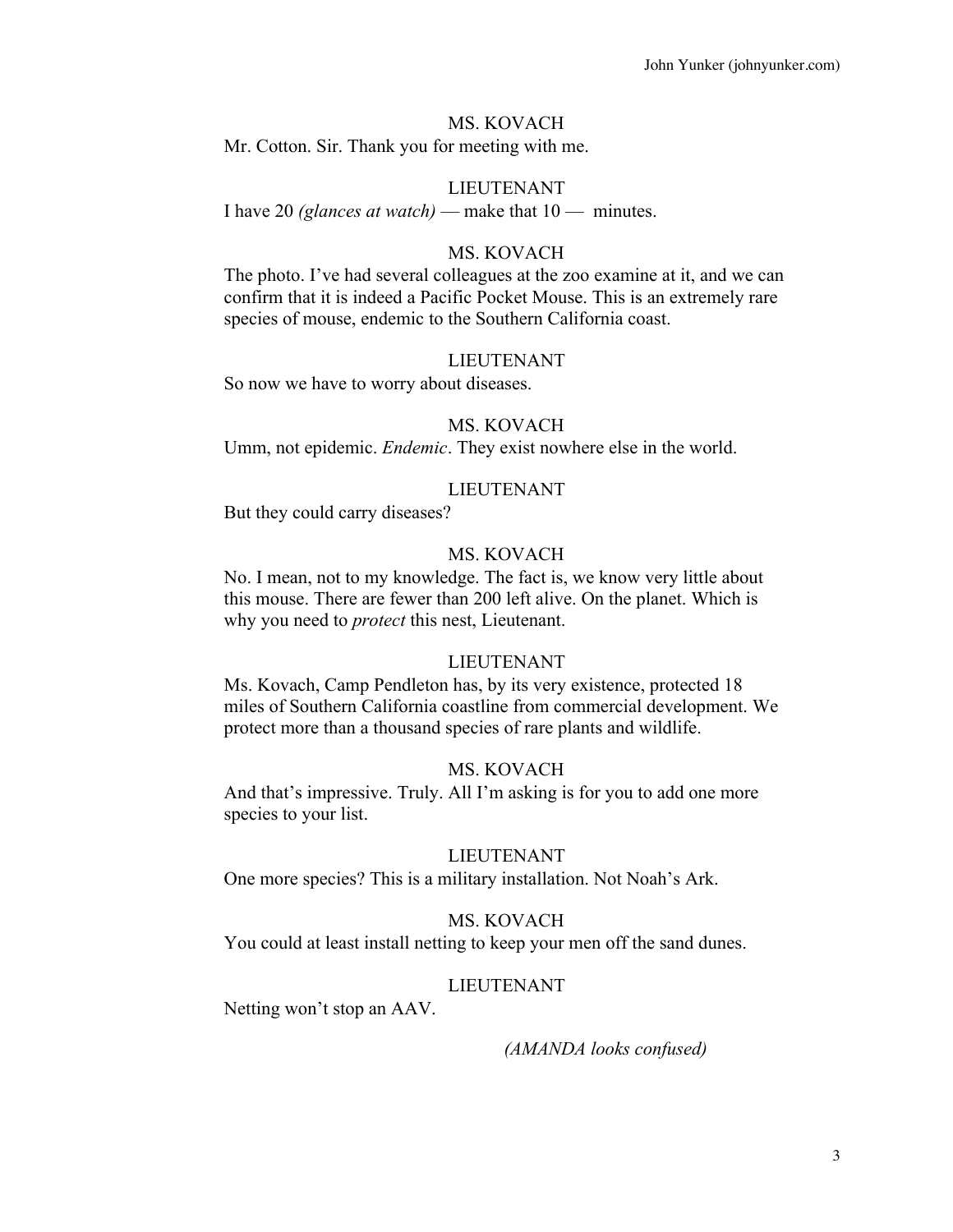Mr. Cotton. Sir. Thank you for meeting with me.

### LIEUTENANT

I have 20 *(glances at watch)* — make that 10 — minutes.

### MS. KOVACH

The photo. I've had several colleagues at the zoo examine at it, and we can confirm that it is indeed a Pacific Pocket Mouse. This is an extremely rare species of mouse, endemic to the Southern California coast.

#### LIEUTENANT

So now we have to worry about diseases.

#### MS. KOVACH

Umm, not epidemic. *Endemic*. They exist nowhere else in the world.

### LIEUTENANT

But they could carry diseases?

### MS. KOVACH

No. I mean, not to my knowledge. The fact is, we know very little about this mouse. There are fewer than 200 left alive. On the planet. Which is why you need to *protect* this nest, Lieutenant.

### LIEUTENANT

Ms. Kovach, Camp Pendleton has, by its very existence, protected 18 miles of Southern California coastline from commercial development. We protect more than a thousand species of rare plants and wildlife.

### MS. KOVACH

And that's impressive. Truly. All I'm asking is for you to add one more species to your list.

#### LIEUTENANT

One more species? This is a military installation. Not Noah's Ark.

### MS. KOVACH

You could at least install netting to keep your men off the sand dunes.

### LIEUTENANT

Netting won't stop an AAV.

#### *(AMANDA looks confused)*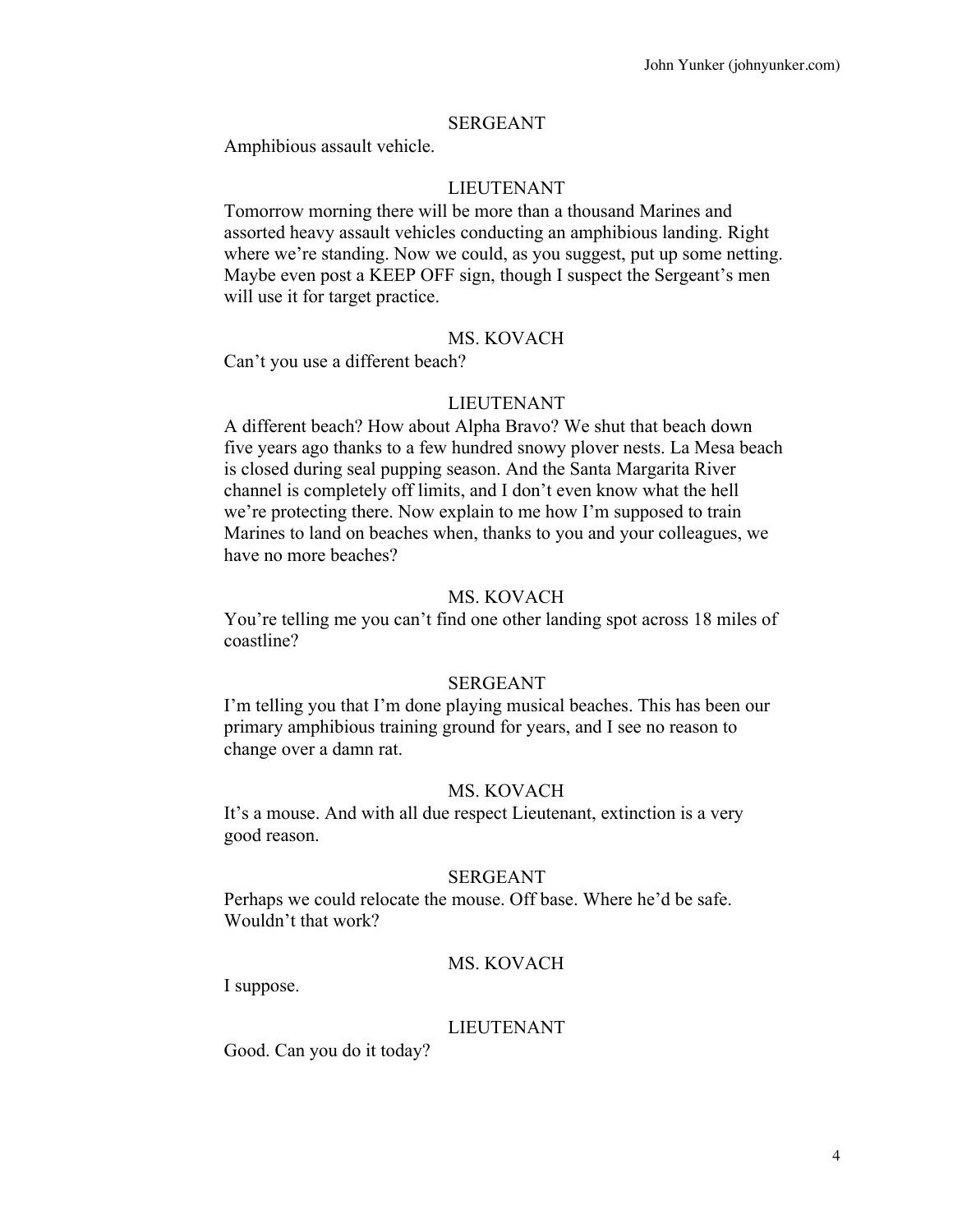#### SERGEANT

Amphibious assault vehicle.

### LIEUTENANT

Tomorrow morning there will be more than a thousand Marines and assorted heavy assault vehicles conducting an amphibious landing. Right where we're standing. Now we could, as you suggest, put up some netting. Maybe even post a KEEP OFF sign, though I suspect the Sergeant's men will use it for target practice.

### MS. KOVACH

Can't you use a different beach?

### LIEUTENANT

A different beach? How about Alpha Bravo? We shut that beach down five years ago thanks to a few hundred snowy plover nests. La Mesa beach is closed during seal pupping season. And the Santa Margarita River channel is completely off limits, and I don't even know what the hell we're protecting there. Now explain to me how I'm supposed to train Marines to land on beaches when, thanks to you and your colleagues, we have no more beaches?

#### MS. KOVACH

You're telling me you can't find one other landing spot across 18 miles of coastline?

### SERGEANT

I'm telling you that I'm done playing musical beaches. This has been our primary amphibious training ground for years, and I see no reason to change over a damn rat.

### MS. KOVACH

It's a mouse. And with all due respect Lieutenant, extinction is a very good reason.

#### SERGEANT

Perhaps we could relocate the mouse. Off base. Where he'd be safe. Wouldn't that work?

### MS. KOVACH

I suppose.

#### LIEUTENANT

Good. Can you do it today?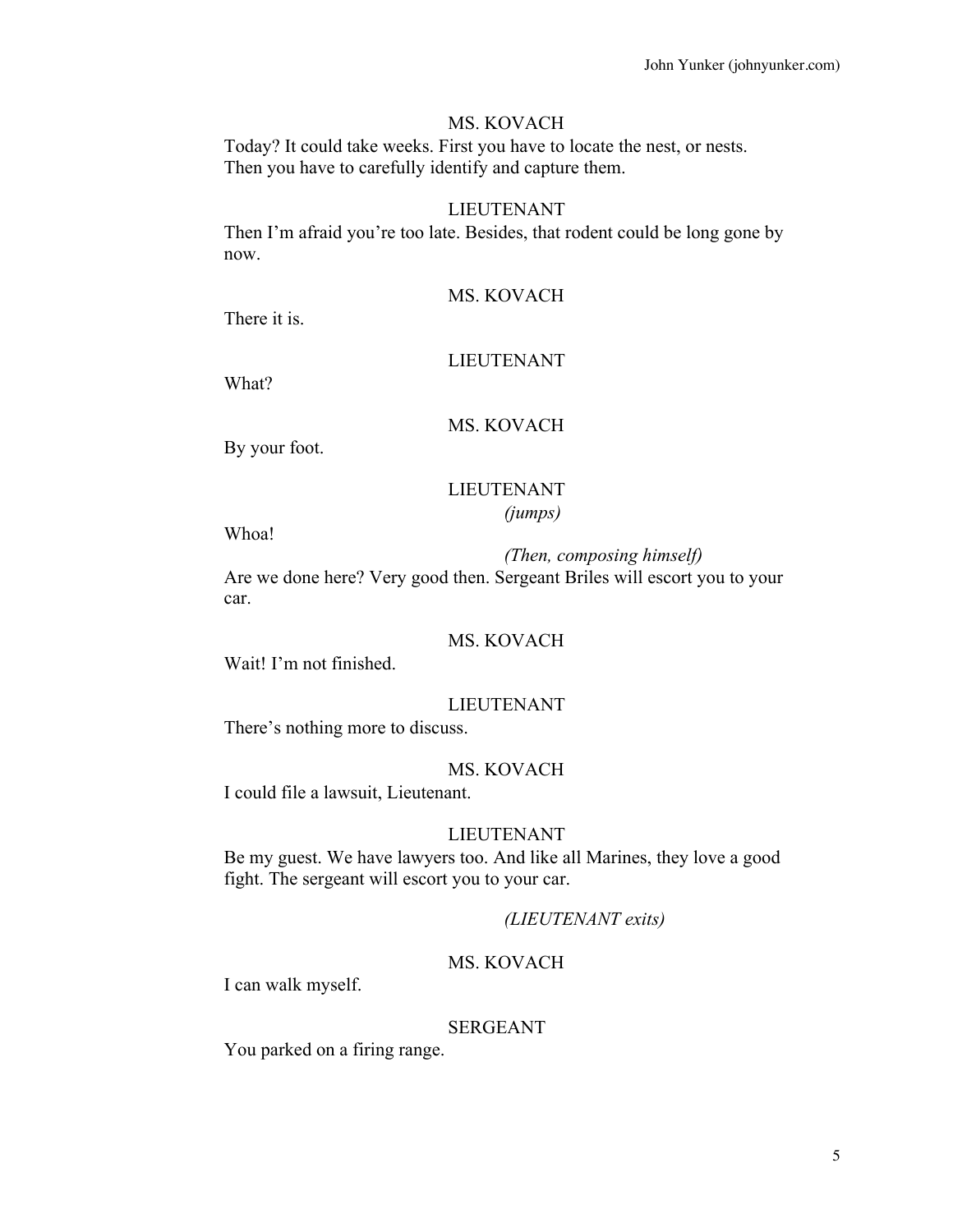Today? It could take weeks. First you have to locate the nest, or nests. Then you have to carefully identify and capture them.

## LIEUTENANT

Then I'm afraid you're too late. Besides, that rodent could be long gone by now.

MS. KOVACH

There it is.

## LIEUTENANT

What?

MS. KOVACH

By your foot.

## LIEUTENANT

*(jumps)*

Whoa!

*(Then, composing himself)*

Are we done here? Very good then. Sergeant Briles will escort you to your car.

## MS. KOVACH

Wait! I'm not finished.

## LIEUTENANT

There's nothing more to discuss.

## MS. KOVACH

I could file a lawsuit, Lieutenant.

### LIEUTENANT

Be my guest. We have lawyers too. And like all Marines, they love a good fight. The sergeant will escort you to your car.

*(LIEUTENANT exits)*

## MS. KOVACH

I can walk myself.

### SERGEANT

You parked on a firing range.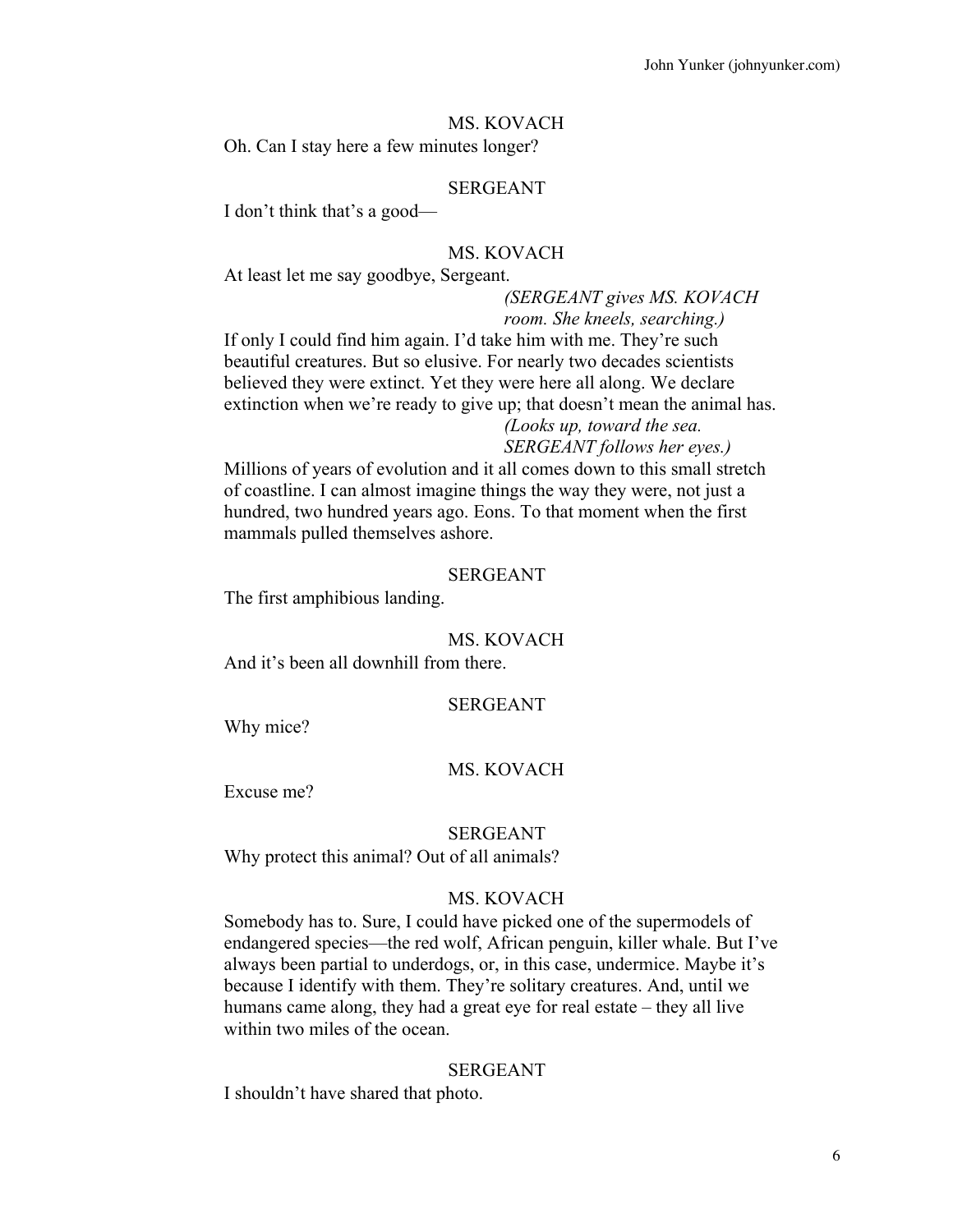Oh. Can I stay here a few minutes longer?

### SERGEANT

I don't think that's a good—

#### MS. KOVACH

At least let me say goodbye, Sergeant.

### *(SERGEANT gives MS. KOVACH*

*room. She kneels, searching.)*

If only I could find him again. I'd take him with me. They're such beautiful creatures. But so elusive. For nearly two decades scientists believed they were extinct. Yet they were here all along. We declare extinction when we're ready to give up; that doesn't mean the animal has. *(Looks up, toward the sea.* 

# *SERGEANT follows her eyes.)*

Millions of years of evolution and it all comes down to this small stretch of coastline. I can almost imagine things the way they were, not just a hundred, two hundred years ago. Eons. To that moment when the first mammals pulled themselves ashore.

#### SERGEANT

The first amphibious landing.

#### MS. KOVACH

And it's been all downhill from there.

## SERGEANT

Why mice?

### MS. KOVACH

Excuse me?

#### SERGEANT

Why protect this animal? Out of all animals?

## MS. KOVACH

Somebody has to. Sure, I could have picked one of the supermodels of endangered species—the red wolf, African penguin, killer whale. But I've always been partial to underdogs, or, in this case, undermice. Maybe it's because I identify with them. They're solitary creatures. And, until we humans came along, they had a great eye for real estate – they all live within two miles of the ocean.

#### SERGEANT

I shouldn't have shared that photo.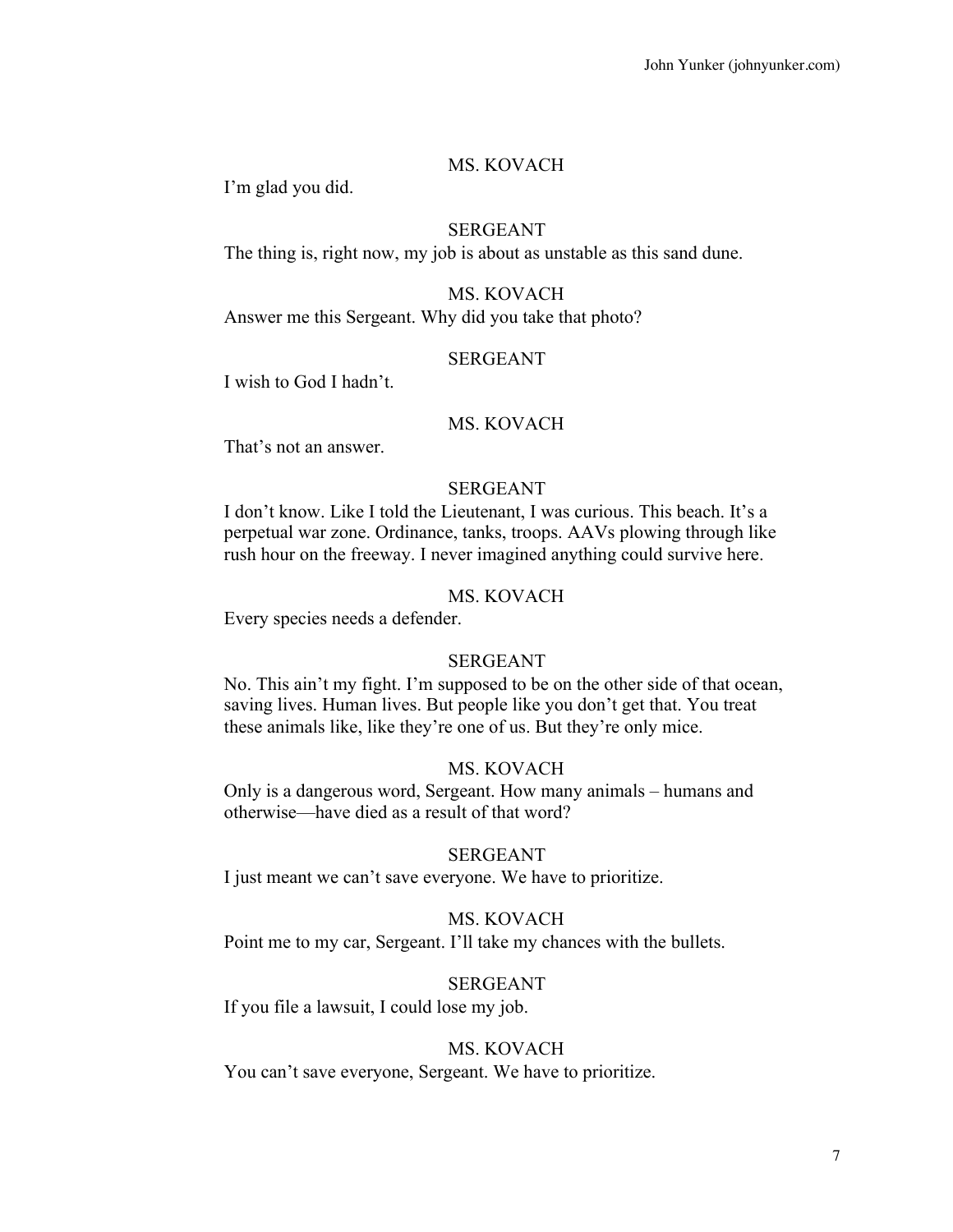I'm glad you did.

### SERGEANT

The thing is, right now, my job is about as unstable as this sand dune.

### MS. KOVACH Answer me this Sergeant. Why did you take that photo?

### SERGEANT

I wish to God I hadn't.

### MS. KOVACH

That's not an answer.

## SERGEANT

I don't know. Like I told the Lieutenant, I was curious. This beach. It's a perpetual war zone. Ordinance, tanks, troops. AAVs plowing through like rush hour on the freeway. I never imagined anything could survive here.

### MS. KOVACH

Every species needs a defender.

### SERGEANT

No. This ain't my fight. I'm supposed to be on the other side of that ocean, saving lives. Human lives. But people like you don't get that. You treat these animals like, like they're one of us. But they're only mice.

### MS. KOVACH

Only is a dangerous word, Sergeant. How many animals – humans and otherwise—have died as a result of that word?

### SERGEANT

I just meant we can't save everyone. We have to prioritize.

### MS. KOVACH

Point me to my car, Sergeant. I'll take my chances with the bullets.

#### SERGEANT

If you file a lawsuit, I could lose my job.

#### MS. KOVACH

You can't save everyone, Sergeant. We have to prioritize.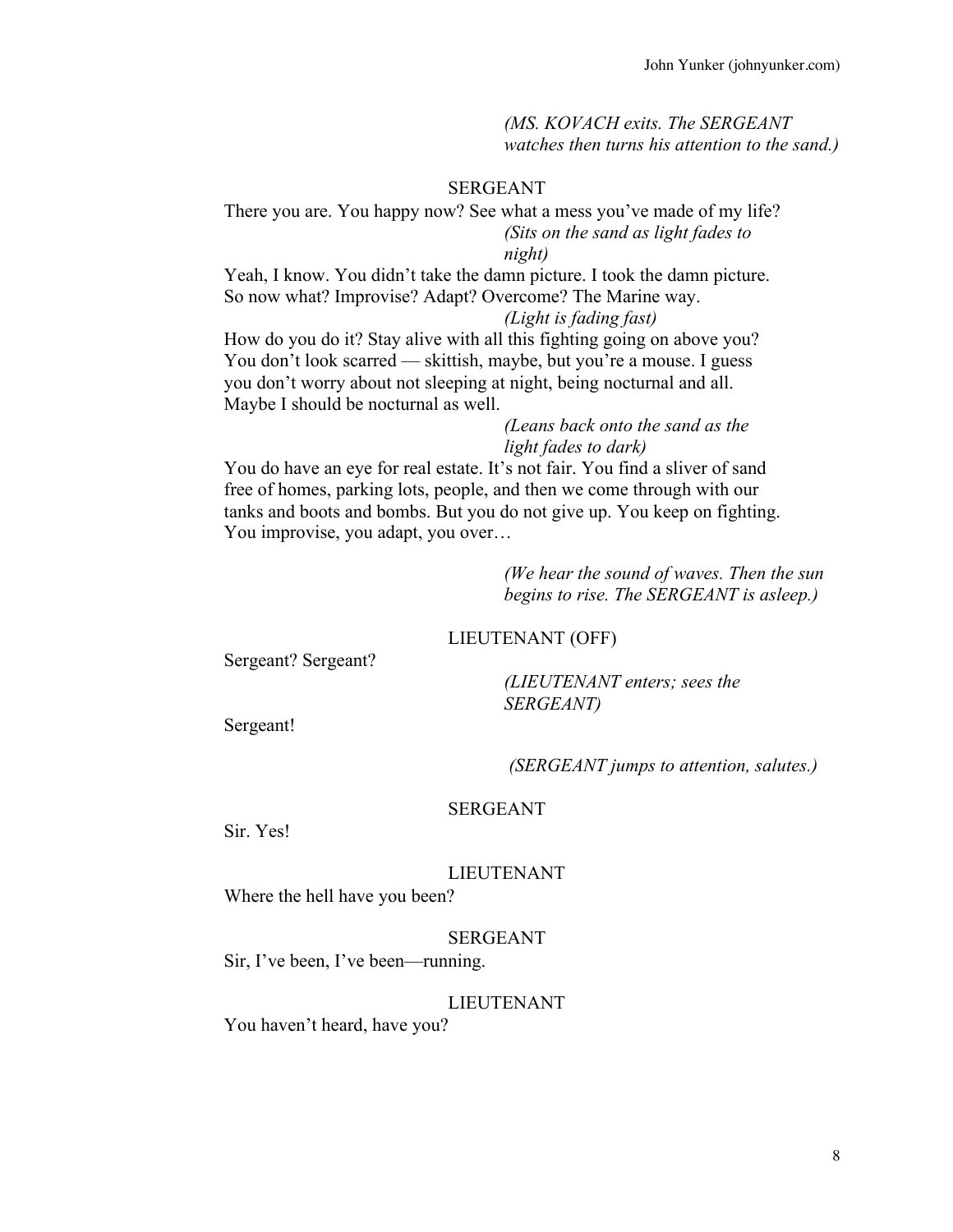### *(MS. KOVACH exits. The SERGEANT watches then turns his attention to the sand.)*

### SERGEANT

There you are. You happy now? See what a mess you've made of my life? *(Sits on the sand as light fades to night)*

Yeah, I know. You didn't take the damn picture. I took the damn picture. So now what? Improvise? Adapt? Overcome? The Marine way.

*(Light is fading fast)*

How do you do it? Stay alive with all this fighting going on above you? You don't look scarred — skittish, maybe, but you're a mouse. I guess you don't worry about not sleeping at night, being nocturnal and all. Maybe I should be nocturnal as well.

### *(Leans back onto the sand as the light fades to dark)*

You do have an eye for real estate. It's not fair. You find a sliver of sand free of homes, parking lots, people, and then we come through with our tanks and boots and bombs. But you do not give up. You keep on fighting. You improvise, you adapt, you over…

> *(We hear the sound of waves. Then the sun begins to rise. The SERGEANT is asleep.)*

#### LIEUTENANT (OFF)

Sergeant? Sergeant?

*(LIEUTENANT enters; sees the SERGEANT)*

Sergeant!

*(SERGEANT jumps to attention, salutes.)*

#### SERGEANT

Sir. Yes!

#### LIEUTENANT

Where the hell have you been?

### SERGEANT

Sir, I've been, I've been—running.

#### LIEUTENANT

You haven't heard, have you?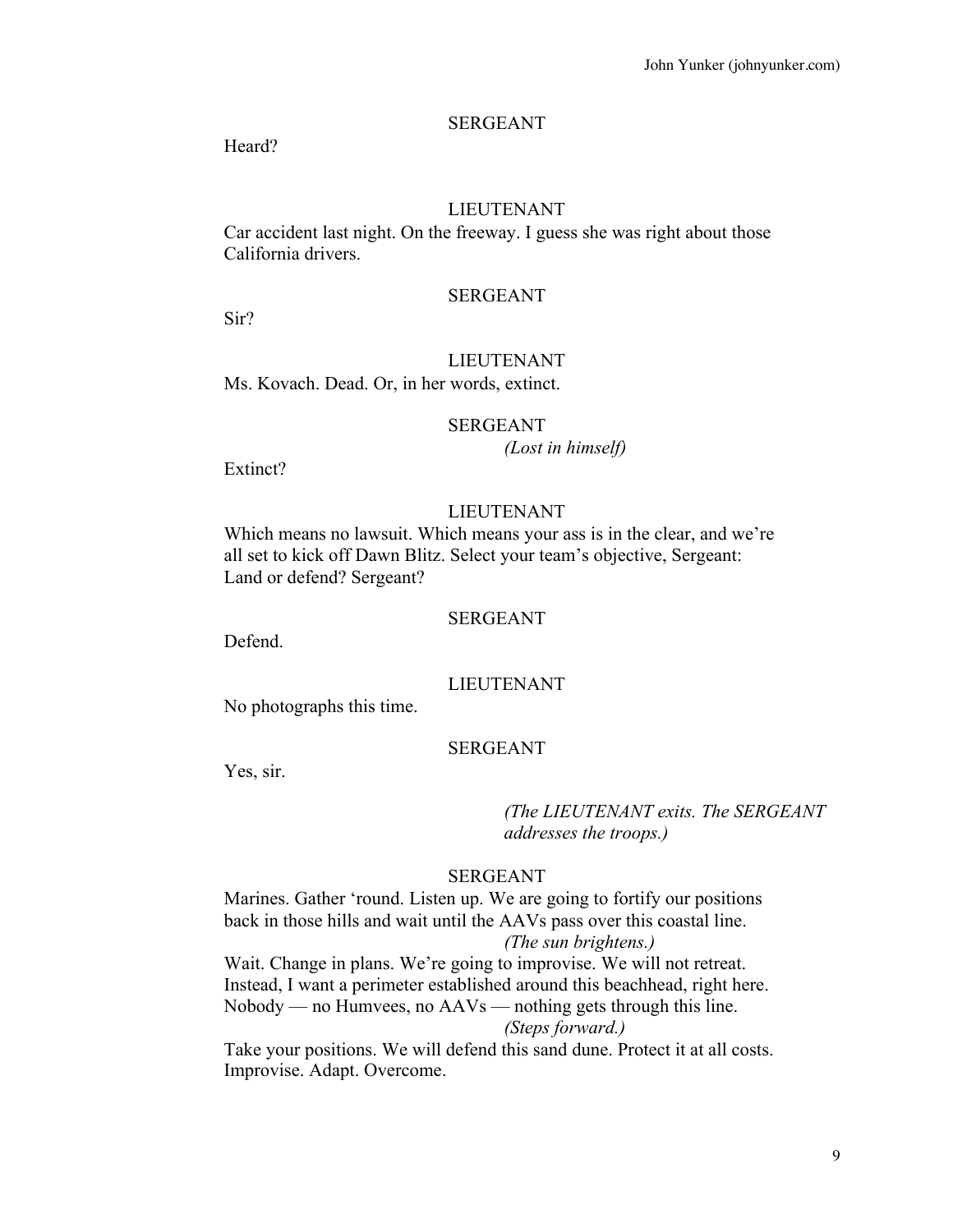### SERGEANT

Heard?

### LIEUTENANT

Car accident last night. On the freeway. I guess she was right about those California drivers.

## SERGEANT

Sir?

### LIEUTENANT

Ms. Kovach. Dead. Or, in her words, extinct.

#### SERGEANT

*(Lost in himself)*

Extinct?

### LIEUTENANT

Which means no lawsuit. Which means your ass is in the clear, and we're all set to kick off Dawn Blitz. Select your team's objective, Sergeant: Land or defend? Sergeant?

### SERGEANT

Defend.

#### LIEUTENANT

No photographs this time.

### SERGEANT

Yes, sir.

### *(The LIEUTENANT exits. The SERGEANT addresses the troops.)*

### SERGEANT

Marines. Gather 'round. Listen up. We are going to fortify our positions back in those hills and wait until the AAVs pass over this coastal line. *(The sun brightens.)*

Wait. Change in plans. We're going to improvise. We will not retreat. Instead, I want a perimeter established around this beachhead, right here. Nobody — no Humvees, no AAVs — nothing gets through this line. *(Steps forward.)*

Take your positions. We will defend this sand dune. Protect it at all costs. Improvise. Adapt. Overcome.